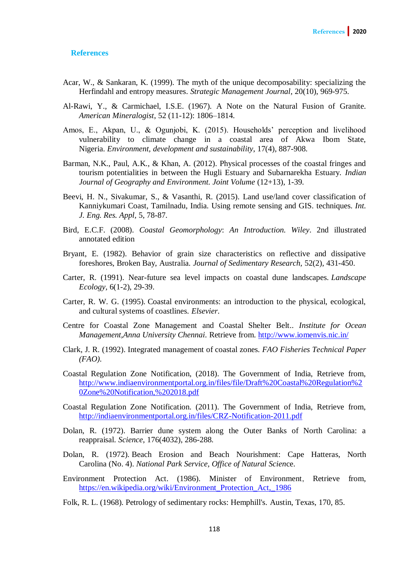## **References**

- Acar, W., & Sankaran, K. (1999). The myth of the unique decomposability: specializing the Herfindahl and entropy measures. *Strategic Management Journal*, 20(10), 969-975.
- Al-Rawi, Y., & Carmichael, I.S.E. (1967). A Note on the Natural Fusion of Granite. *American Mineralogist*, 52 (11-12): 1806–1814.
- Amos, E., Akpan, U., & Ogunjobi, K. (2015). Households' perception and livelihood vulnerability to climate change in a coastal area of Akwa Ibom State, Nigeria. *Environment, development and sustainability*, 17(4), 887-908.
- Barman, N.K., Paul, A.K., & Khan, A. (2012). Physical processes of the coastal fringes and tourism potentialities in between the Hugli Estuary and Subarnarekha Estuary. *Indian Journal of Geography and Environment. Joint Volume* (12+13), 1-39.
- Beevi, H. N., Sivakumar, S., & Vasanthi, R. (2015). Land use/land cover classification of Kanniykumari Coast, Tamilnadu, India. Using remote sensing and GIS. techniques. *Int. J. Eng. Res. Appl,* 5, 78-87.
- Bird, E.C.F. (2008). *Coastal Geomorphology*: *An Introduction. Wiley*. 2nd illustrated annotated edition
- Bryant, E. (1982). Behavior of grain size characteristics on reflective and dissipative foreshores, Broken Bay, Australia. *Journal of Sedimentary Research,* 52(2), 431-450.
- Carter, R. (1991). Near-future sea level impacts on coastal dune landscapes. *Landscape Ecology,* 6(1-2), 29-39.
- Carter, R. W. G. (1995). Coastal environments: an introduction to the physical, ecological, and cultural systems of coastlines. *Elsevier*.
- Centre for Coastal Zone Management and Coastal Shelter Belt.. *[Institute for Ocean](http://www.annauniv.edu/)  [Management,Anna University Chennai.](http://www.annauniv.edu/)* Retrieve from.<http://www.iomenvis.nic.in/>
- Clark, J. R. (1992). Integrated management of coastal zones*. FAO Fisheries Technical Paper (FAO).*
- Coastal Regulation Zone Notification, (2018). The Government of India, Retrieve from, [http://www.indiaenvironmentportal.org.in/files/file/Draft%20Coastal%20Regulation%2](http://www.indiaenvironmentportal.org.in/files/file/Draft%20Coastal%20Regulation%20Zone%20Notification,%202018.pdf) [0Zone%20Notification,%202018.pdf](http://www.indiaenvironmentportal.org.in/files/file/Draft%20Coastal%20Regulation%20Zone%20Notification,%202018.pdf)
- Coastal Regulation Zone Notification. (2011). The Government of India, Retrieve from, <http://indiaenvironmentportal.org.in/files/CRZ-Notification-2011.pdf>
- Dolan, R. (1972). Barrier dune system along the Outer Banks of North Carolina: a reappraisal. *Science*, 176(4032), 286-288.
- Dolan, R. (1972). Beach Erosion and Beach Nourishment: Cape Hatteras, North Carolina (No. 4). *National Park Service, Office of Natural Scien*ce.
- Environment Protection Act. (1986). Minister of Environment, Retrieve from, [https://en.wikipedia.org/wiki/Environment\\_Protection\\_Act,\\_1986](https://en.wikipedia.org/wiki/Environment_Protection_Act,_1986)
- Folk, R. L. (1968). Petrology of sedimentary rocks: Hemphill's. Austin, Texas, 170, 85.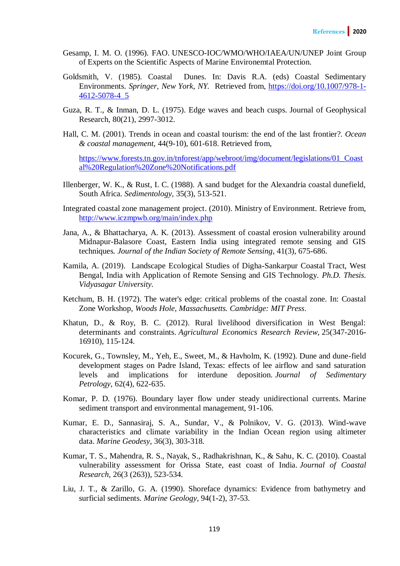- Gesamp, I. M. O. (1996). FAO. UNESCO-IOC/WMO/WHO/IAEA/UN/UNEP Joint Group of Experts on the Scientific Aspects of Marine Environemtal Protection.
- Goldsmith, V. (1985). Coastal Dunes. In: Davis R.A. (eds) Coastal Sedimentary Environments. *Springer, New York, NY.* Retrieved from, [https://doi.org/10.1007/978-1-](https://doi.org/10.1007/978-1-4612-5078-4_5) [4612-5078-4\\_5](https://doi.org/10.1007/978-1-4612-5078-4_5)
- Guza, R. T., & Inman, D. L. (1975). Edge waves and beach cusps. Journal of Geophysical Research, 80(21), 2997-3012.
- Hall, C. M. (2001). Trends in ocean and coastal tourism: the end of the last frontier?. *Ocean & coastal management,* 44(9-10), 601-618. Retrieved from,

[https://www.forests.tn.gov.in/tnforest/app/webroot/img/document/legislations/01\\_Coast](https://www.forests.tn.gov.in/tnforest/app/webroot/img/document/legislations/01_Coastal%20Regulation%20Zone%20Notifications.pdf) [al%20Regulation%20Zone%20Notifications.pdf](https://www.forests.tn.gov.in/tnforest/app/webroot/img/document/legislations/01_Coastal%20Regulation%20Zone%20Notifications.pdf)

- Illenberger, W. K., & Rust, I. C. (1988). A sand budget for the Alexandria coastal dunefield, South Africa. *Sedimentology,* 35(3), 513-521.
- Integrated coastal zone management project. (2010). Ministry of Environment. Retrieve from, <http://www.iczmpwb.org/main/index.php>
- Jana, A., & Bhattacharya, A. K. (2013). Assessment of coastal erosion vulnerability around Midnapur-Balasore Coast, Eastern India using integrated remote sensing and GIS techniques*. Journal of the Indian Society of Remote Sensing*, 41(3), 675-686.
- Kamila, A. (2019). Landscape Ecological Studies of Digha-Sankarpur Coastal Tract, West Bengal, India with Application of Remote Sensing and GIS Technology. *Ph.D. Thesis. Vidyasagar University.*
- Ketchum, B. H. (1972). The water's edge: critical problems of the coastal zone. In: Coastal Zone Workshop, *Woods Hole, Massachusetts. Cambridge: MIT Press*.
- Khatun, D., & Roy, B. C. (2012). Rural livelihood diversification in West Bengal: determinants and constraints. *Agricultural Economics Research Review*, 25(347-2016- 16910), 115-124.
- Kocurek, G., Townsley, M., Yeh, E., Sweet, M., & Havholm, K. (1992). Dune and dune-field development stages on Padre Island, Texas: effects of lee airflow and sand saturation levels and implications for interdune deposition. *Journal of Sedimentary Petrology*, 62(4), 622-635.
- Komar, P. D. (1976). Boundary layer flow under steady unidirectional currents. Marine sediment transport and environmental management, 91-106.
- Kumar, E. D., Sannasiraj, S. A., Sundar, V., & Polnikov, V. G. (2013). Wind-wave characteristics and climate variability in the Indian Ocean region using altimeter data. *Marine Geodesy*, 36(3), 303-318.
- Kumar, T. S., Mahendra, R. S., Nayak, S., Radhakrishnan, K., & Sahu, K. C. (2010). Coastal vulnerability assessment for Orissa State, east coast of India*. Journal of Coastal Research,* 26(3 (263)), 523-534.
- Liu, J. T., & Zarillo, G. A. (1990). Shoreface dynamics: Evidence from bathymetry and surficial sediments. *Marine Geology*, 94(1-2), 37-53.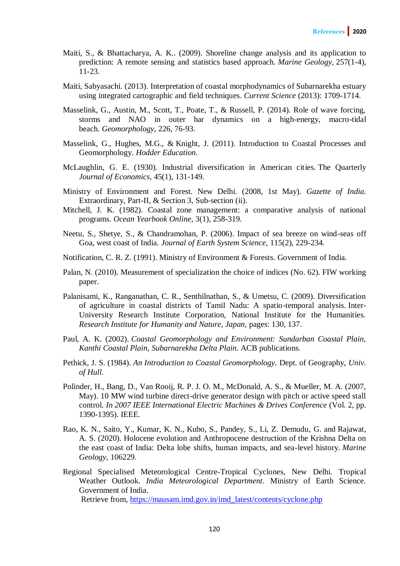- Maiti, S., & Bhattacharya, A. K.. (2009). Shoreline change analysis and its application to prediction: A remote sensing and statistics based approach. *Marine Geology,* 257(1-4), 11-23.
- Maiti, Sabyasachi. (2013). Interpretation of coastal morphodynamics of Subarnarekha estuary using integrated cartographic and field techniques. *Current Science* (2013): 1709-1714.
- Masselink, G., Austin, M., Scott, T., Poate, T., & Russell, P. (2014). Role of wave forcing, storms and NAO in outer bar dynamics on a high-energy, macro-tidal beach. *Geomorphology,* 226, 76-93.
- Masselink, G., Hughes, M.G., & Knight, J. (2011). Introduction to Coastal Processes and Geomorphology. *Hodder Education.*
- McLaughlin, G. E. (1930). Industrial diversification in American cities. The Quarterly *Journal of Economics*, 45(1), 131-149.
- Ministry of Environment and Forest. New Delhi. (2008, 1st May). *Gazette of India*. Extraordinary, Part-II, & Section 3, Sub-section (ii).
- Mitchell, J. K. (1982). Coastal zone management: a comparative analysis of national programs. *Ocean Yearbook Online*, 3(1), 258-319.
- Neetu, S., Shetye, S., & Chandramohan, P. (2006). Impact of sea breeze on wind-seas off Goa, west coast of India. *Journal of Earth System Science*, 115(2), 229-234.
- Notification, C. R. Z. (1991). Ministry of Environment & Forests. Government of India.
- Palan, N. (2010). Measurement of specialization the choice of indices (No. 62). FIW working paper.
- Palanisami, K., Ranganathan, C. R., Senthilnathan, S., & Umetsu, C. (2009). Diversification of agriculture in coastal districts of Tamil Nadu: A spatio-temporal analysis. Inter-University Research Institute Corporation, National Institute for the Humanities. *Research Institute for Humanity and Nature, Japan,* pages: 130, 137.
- Paul, A. K. (2002). *Coastal Geomorphology and Environment: Sundarban Coastal Plain, Kanthi Coastal Plain, Subarnarekha Delta Plain*. ACB publications*.*
- Pethick, J. S. (1984). *An Introduction to Coastal Geomorphology*. Dept. of Geography, *Univ. of Hull.*
- Polinder, H., Bang, D., Van Rooij, R. P. J. O. M., McDonald, A. S., & Mueller, M. A. (2007, May). 10 MW wind turbine direct-drive generator design with pitch or active speed stall control. *In 2007 IEEE International Electric Machines & Drives Conference* (Vol. 2, pp. 1390-1395). IEEE.
- Rao, K. N., Saito, Y., Kumar, K. N., Kubo, S., Pandey, S., Li, Z. Demudu, G. and Rajawat, A. S. (2020). Holocene evolution and Anthropocene destruction of the Krishna Delta on the east coast of India: Delta lobe shifts, human impacts, and sea-level history. *Marine Geology,* 106229.
- Regional Specialised Meteorological Centre-Tropical Cyclones, New Delhi. Tropical Weather Outlook. *India Meteorological Department*. Ministry of Earth Science. Government of India. Retrieve from, [https://mausam.imd.gov.in/imd\\_latest/contents/cyclone.php](https://mausam.imd.gov.in/imd_latest/contents/cyclone.php)

120